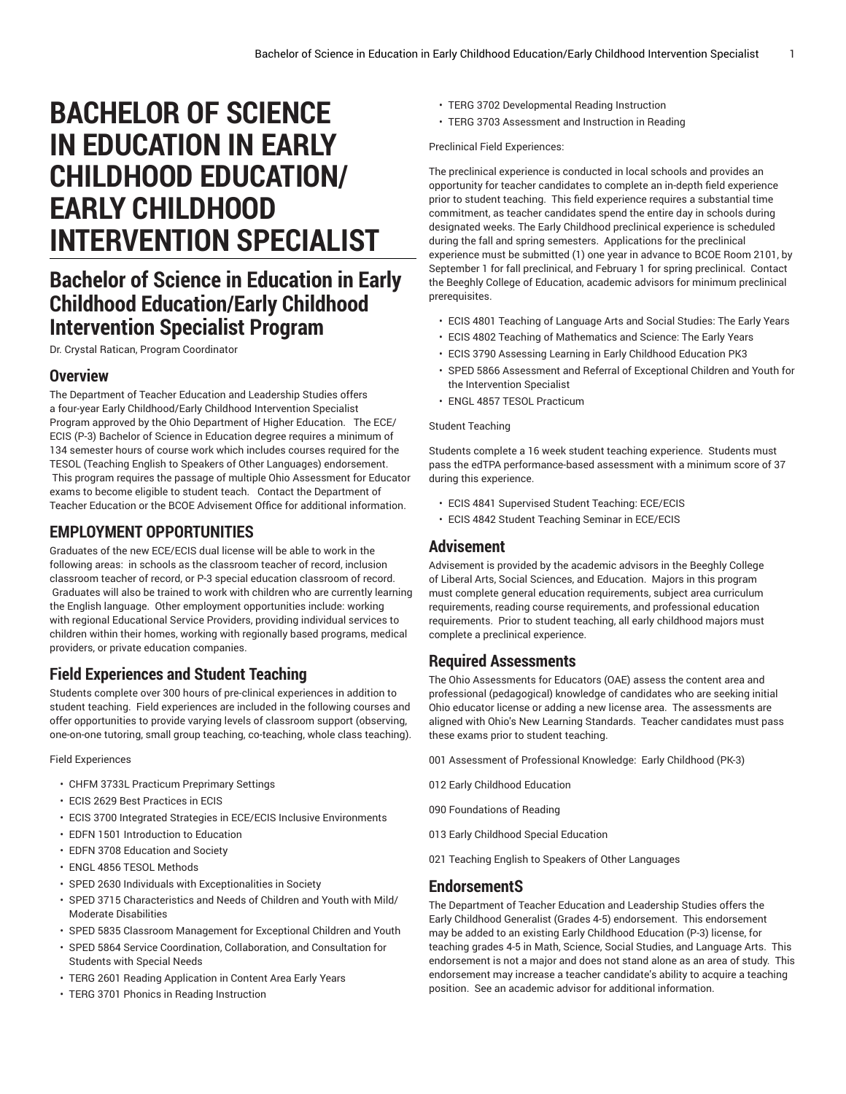# **BACHELOR OF SCIENCE IN EDUCATION IN EARLY CHILDHOOD EDUCATION/ EARLY CHILDHOOD INTERVENTION SPECIALIST**

## **Bachelor of Science in Education in Early Childhood Education/Early Childhood Intervention Specialist Program**

Dr. Crystal Ratican, Program Coordinator

## **Overview**

The Department of Teacher Education and Leadership Studies offers a four-year Early Childhood/Early Childhood Intervention Specialist Program approved by the Ohio Department of Higher Education. The ECE/ ECIS (P-3) Bachelor of Science in Education degree requires a minimum of 134 semester hours of course work which includes courses required for the TESOL (Teaching English to Speakers of Other Languages) endorsement. This program requires the passage of multiple Ohio Assessment for Educator exams to become eligible to student teach. Contact the Department of Teacher Education or the BCOE Advisement Office for additional information.

## **EMPLOYMENT OPPORTUNITIES**

Graduates of the new ECE/ECIS dual license will be able to work in the following areas: in schools as the classroom teacher of record, inclusion classroom teacher of record, or P-3 special education classroom of record. Graduates will also be trained to work with children who are currently learning the English language. Other employment opportunities include: working with regional Educational Service Providers, providing individual services to children within their homes, working with regionally based programs, medical providers, or private education companies.

## **Field Experiences and Student Teaching**

Students complete over 300 hours of pre-clinical experiences in addition to student teaching. Field experiences are included in the following courses and offer opportunities to provide varying levels of classroom support (observing, one-on-one tutoring, small group teaching, co-teaching, whole class teaching).

#### Field Experiences

- CHFM 3733L Practicum Preprimary Settings
- ECIS 2629 Best Practices in ECIS
- ECIS 3700 Integrated Strategies in ECE/ECIS Inclusive Environments
- EDFN 1501 Introduction to Education
- EDFN 3708 Education and Society
- ENGL 4856 TESOL Methods
- SPED 2630 Individuals with Exceptionalities in Society
- SPED 3715 Characteristics and Needs of Children and Youth with Mild/ Moderate Disabilities
- SPED 5835 Classroom Management for Exceptional Children and Youth
- SPED 5864 Service Coordination, Collaboration, and Consultation for Students with Special Needs
- TERG 2601 Reading Application in Content Area Early Years
- TERG 3701 Phonics in Reading Instruction
- TERG 3702 Developmental Reading Instruction
- TERG 3703 Assessment and Instruction in Reading

#### Preclinical Field Experiences:

The preclinical experience is conducted in local schools and provides an opportunity for teacher candidates to complete an in-depth field experience prior to student teaching. This field experience requires a substantial time commitment, as teacher candidates spend the entire day in schools during designated weeks. The Early Childhood preclinical experience is scheduled during the fall and spring semesters. Applications for the preclinical experience must be submitted (1) one year in advance to BCOE Room 2101, by September 1 for fall preclinical, and February 1 for spring preclinical. Contact the Beeghly College of Education, academic advisors for minimum preclinical prerequisites.

- ECIS 4801 Teaching of Language Arts and Social Studies: The Early Years
- ECIS 4802 Teaching of Mathematics and Science: The Early Years
- ECIS 3790 Assessing Learning in Early Childhood Education PK3
- SPED 5866 Assessment and Referral of Exceptional Children and Youth for the Intervention Specialist
- ENGL 4857 TESOL Practicum

#### Student Teaching

Students complete a 16 week student teaching experience. Students must pass the edTPA performance-based assessment with a minimum score of 37 during this experience.

- ECIS 4841 Supervised Student Teaching: ECE/ECIS
- ECIS 4842 Student Teaching Seminar in ECE/ECIS

### **Advisement**

Advisement is provided by the academic advisors in the Beeghly College of Liberal Arts, Social Sciences, and Education. Majors in this program must complete general education requirements, subject area curriculum requirements, reading course requirements, and professional education requirements. Prior to student teaching, all early childhood majors must complete a preclinical experience.

## **Required Assessments**

The Ohio Assessments for Educators (OAE) assess the content area and professional (pedagogical) knowledge of candidates who are seeking initial Ohio educator license or adding a new license area. The assessments are aligned with Ohio's New Learning Standards. Teacher candidates must pass these exams prior to student teaching.

- 001 Assessment of Professional Knowledge: Early Childhood (PK-3)
- 012 Early Childhood Education
- 090 Foundations of Reading
- 013 Early Childhood Special Education
- 021 Teaching English to Speakers of Other Languages

## **EndorsementS**

The Department of Teacher Education and Leadership Studies offers the Early Childhood Generalist (Grades 4-5) endorsement. This endorsement may be added to an existing Early Childhood Education (P-3) license, for teaching grades 4-5 in Math, Science, Social Studies, and Language Arts. This endorsement is not a major and does not stand alone as an area of study. This endorsement may increase a teacher candidate's ability to acquire a teaching position. See an academic advisor for additional information.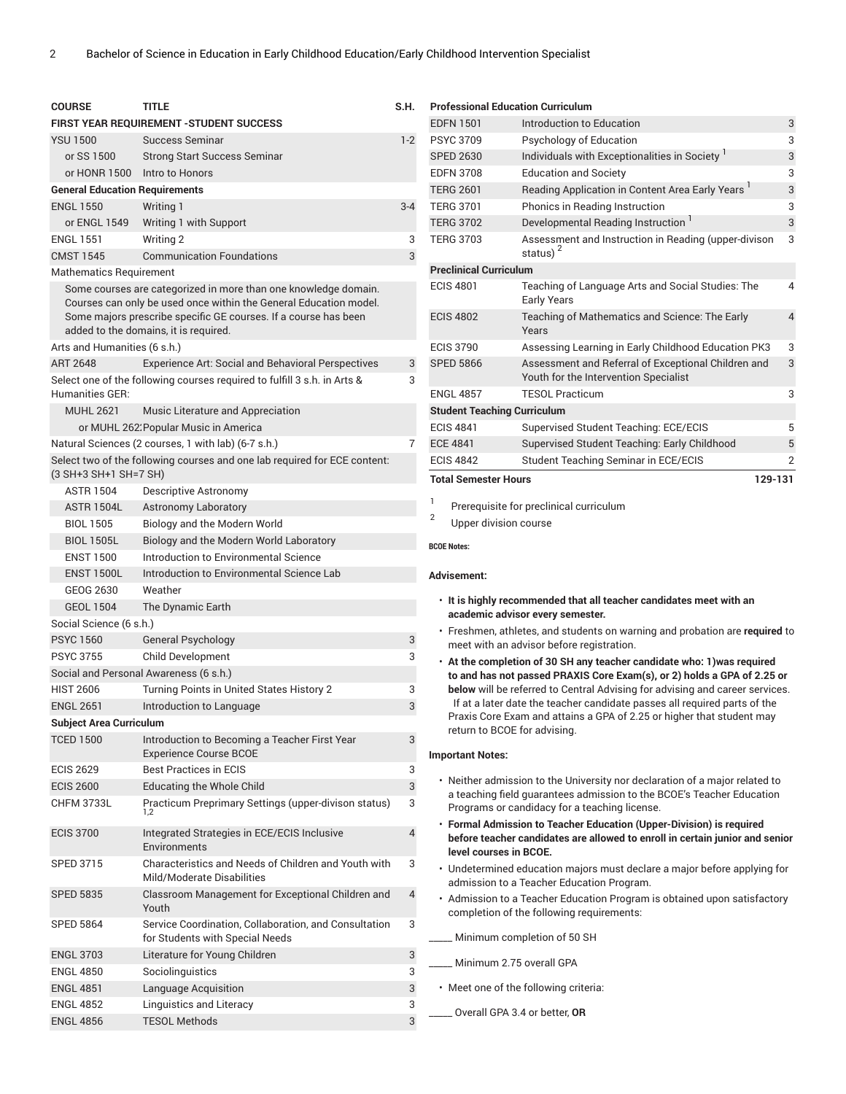| <b>COURSE</b>                         | <b>TITLE</b>                                                                                                                                                                                                                                     | S.H.           |
|---------------------------------------|--------------------------------------------------------------------------------------------------------------------------------------------------------------------------------------------------------------------------------------------------|----------------|
|                                       | FIRST YEAR REQUIREMENT - STUDENT SUCCESS                                                                                                                                                                                                         |                |
| <b>YSU 1500</b>                       | <b>Success Seminar</b>                                                                                                                                                                                                                           | $1-2$          |
| or SS 1500                            | <b>Strong Start Success Seminar</b>                                                                                                                                                                                                              |                |
| or HONR 1500                          | Intro to Honors                                                                                                                                                                                                                                  |                |
| <b>General Education Requirements</b> |                                                                                                                                                                                                                                                  |                |
| <b>ENGL 1550</b>                      | Writing 1                                                                                                                                                                                                                                        | 3-4            |
| or ENGL 1549                          | Writing 1 with Support                                                                                                                                                                                                                           |                |
| <b>FNGI 1551</b>                      | Writing 2                                                                                                                                                                                                                                        | 3              |
| <b>CMST 1545</b>                      | <b>Communication Foundations</b>                                                                                                                                                                                                                 | 3              |
| <b>Mathematics Requirement</b>        |                                                                                                                                                                                                                                                  |                |
|                                       | Some courses are categorized in more than one knowledge domain.<br>Courses can only be used once within the General Education model.<br>Some majors prescribe specific GE courses. If a course has been<br>added to the domains, it is required. |                |
| Arts and Humanities (6 s.h.)          |                                                                                                                                                                                                                                                  |                |
| <b>ART 2648</b>                       | <b>Experience Art: Social and Behavioral Perspectives</b>                                                                                                                                                                                        | 3              |
| Humanities GER:                       | Select one of the following courses required to fulfill 3 s.h. in Arts &                                                                                                                                                                         | 3              |
| <b>MUHL 2621</b>                      | Music Literature and Appreciation                                                                                                                                                                                                                |                |
|                                       | or MUHL 262. Popular Music in America                                                                                                                                                                                                            |                |
|                                       | Natural Sciences (2 courses, 1 with lab) (6-7 s.h.)                                                                                                                                                                                              | 7              |
| (3 SH+3 SH+1 SH=7 SH)                 | Select two of the following courses and one lab required for ECE content:                                                                                                                                                                        |                |
| <b>ASTR 1504</b>                      | Descriptive Astronomy                                                                                                                                                                                                                            |                |
| <b>ASTR 1504L</b>                     | <b>Astronomy Laboratory</b>                                                                                                                                                                                                                      |                |
| <b>BIOL 1505</b>                      | Biology and the Modern World                                                                                                                                                                                                                     |                |
| <b>BIOL 1505L</b>                     | Biology and the Modern World Laboratory                                                                                                                                                                                                          |                |
| <b>ENST 1500</b>                      | Introduction to Environmental Science                                                                                                                                                                                                            |                |
| <b>ENST 1500L</b>                     | Introduction to Environmental Science Lab                                                                                                                                                                                                        |                |
| GEOG 2630                             | Weather                                                                                                                                                                                                                                          |                |
| <b>GEOL 1504</b>                      | The Dynamic Earth                                                                                                                                                                                                                                |                |
| Social Science (6 s.h.)               |                                                                                                                                                                                                                                                  |                |
| <b>PSYC 1560</b>                      | <b>General Psychology</b>                                                                                                                                                                                                                        | 3              |
| <b>PSYC 3755</b>                      | <b>Child Development</b>                                                                                                                                                                                                                         | 3              |
|                                       | Social and Personal Awareness (6 s.h.)                                                                                                                                                                                                           |                |
| <b>HIST 2606</b>                      | Turning Points in United States History 2                                                                                                                                                                                                        | 3              |
| <b>ENGL 2651</b>                      | Introduction to Language                                                                                                                                                                                                                         | 3              |
| <b>Subject Area Curriculum</b>        |                                                                                                                                                                                                                                                  |                |
| <b>TCED 1500</b>                      | Introduction to Becoming a Teacher First Year<br><b>Experience Course BCOE</b>                                                                                                                                                                   | 3              |
| <b>ECIS 2629</b>                      | <b>Best Practices in ECIS</b>                                                                                                                                                                                                                    | 3              |
| <b>ECIS 2600</b>                      | <b>Educating the Whole Child</b>                                                                                                                                                                                                                 | 3              |
| <b>CHFM 3733L</b>                     | Practicum Preprimary Settings (upper-divison status)<br>1,2                                                                                                                                                                                      | 3              |
| <b>ECIS 3700</b>                      | Integrated Strategies in ECE/ECIS Inclusive<br>Environments                                                                                                                                                                                      | $\overline{4}$ |
| <b>SPED 3715</b>                      | Characteristics and Needs of Children and Youth with<br>Mild/Moderate Disabilities                                                                                                                                                               | 3              |
| <b>SPED 5835</b>                      | Classroom Management for Exceptional Children and<br>Youth                                                                                                                                                                                       | 4              |
| <b>SPED 5864</b>                      | Service Coordination, Collaboration, and Consultation<br>for Students with Special Needs                                                                                                                                                         | 3              |
| <b>ENGL 3703</b>                      | Literature for Young Children                                                                                                                                                                                                                    | 3              |
| <b>ENGL 4850</b>                      | Sociolinguistics                                                                                                                                                                                                                                 | 3              |
| <b>ENGL 4851</b>                      | Language Acquisition                                                                                                                                                                                                                             | 3              |
| <b>ENGL 4852</b>                      | Linguistics and Literacy                                                                                                                                                                                                                         | 3              |
| <b>ENGL 4856</b>                      | <b>TESOL Methods</b>                                                                                                                                                                                                                             | 3              |

| <b>Total Semester Hours</b>              | 129-131                                                                                      |                |
|------------------------------------------|----------------------------------------------------------------------------------------------|----------------|
| <b>ECIS 4842</b>                         | Student Teaching Seminar in ECE/ECIS                                                         | $\overline{2}$ |
| <b>ECE 4841</b>                          | Supervised Student Teaching: Early Childhood                                                 | 5              |
| <b>ECIS 4841</b>                         | Supervised Student Teaching: ECE/ECIS                                                        | 5              |
| <b>Student Teaching Curriculum</b>       |                                                                                              |                |
| <b>ENGL 4857</b>                         | <b>TESOL Practicum</b>                                                                       | 3              |
| <b>SPED 5866</b>                         | Assessment and Referral of Exceptional Children and<br>Youth for the Intervention Specialist | 3              |
| <b>ECIS 3790</b>                         | Assessing Learning in Early Childhood Education PK3                                          | 3              |
| <b>ECIS 4802</b>                         | Teaching of Mathematics and Science: The Early<br>Years                                      | $\overline{4}$ |
| <b>ECIS 4801</b>                         | Teaching of Language Arts and Social Studies: The<br><b>Early Years</b>                      | 4              |
| <b>Preclinical Curriculum</b>            |                                                                                              |                |
| <b>TERG 3703</b>                         | Assessment and Instruction in Reading (upper-divison<br>status) $2$                          | 3              |
| <b>TERG 3702</b>                         | Developmental Reading Instruction <sup>1</sup>                                               | 3              |
| <b>TERG 3701</b>                         | Phonics in Reading Instruction                                                               | 3              |
| <b>TERG 2601</b>                         | Reading Application in Content Area Early Years <sup>1</sup>                                 | 3              |
| <b>EDFN 3708</b>                         | <b>Education and Society</b>                                                                 | 3              |
| <b>SPED 2630</b>                         | Individuals with Exceptionalities in Society                                                 | 3              |
| <b>PSYC 3709</b>                         | Psychology of Education                                                                      | 3              |
| <b>EDFN 1501</b>                         | Introduction to Education                                                                    | 3              |
| <b>Professional Education Curriculum</b> |                                                                                              |                |

1 Prerequisite for preclinical curriculum

Upper division course

**BCOE Notes:**

2

#### **Advisement:**

- **It is highly recommended that all teacher candidates meet with an academic advisor every semester.**
- Freshmen, athletes, and students on warning and probation are **required** to meet with an advisor before registration.
- **At the completion of 30 SH any teacher candidate who: 1)was required to and has not passed PRAXIS Core Exam(s), or 2) holds a GPA of 2.25 or below** will be referred to Central Advising for advising and career services. If at a later date the teacher candidate passes all required parts of the Praxis Core Exam and attains a GPA of 2.25 or higher that student may return to BCOE for advising.

#### **Important Notes:**

- Neither admission to the University nor declaration of a major related to a teaching field guarantees admission to the BCOE's Teacher Education Programs or candidacy for a teaching license.
- **Formal Admission to Teacher Education (Upper-Division) is required before teacher candidates are allowed to enroll in certain junior and senior level courses in BCOE.**
- Undetermined education majors must declare a major before applying for admission to a Teacher Education Program.
- Admission to a Teacher Education Program is obtained upon satisfactory completion of the following requirements:

Minimum completion of 50 SH

- \_\_\_\_\_ Minimum 2.75 overall GPA
- Meet one of the following criteria:
- \_\_\_\_\_ Overall GPA 3.4 or better, **OR**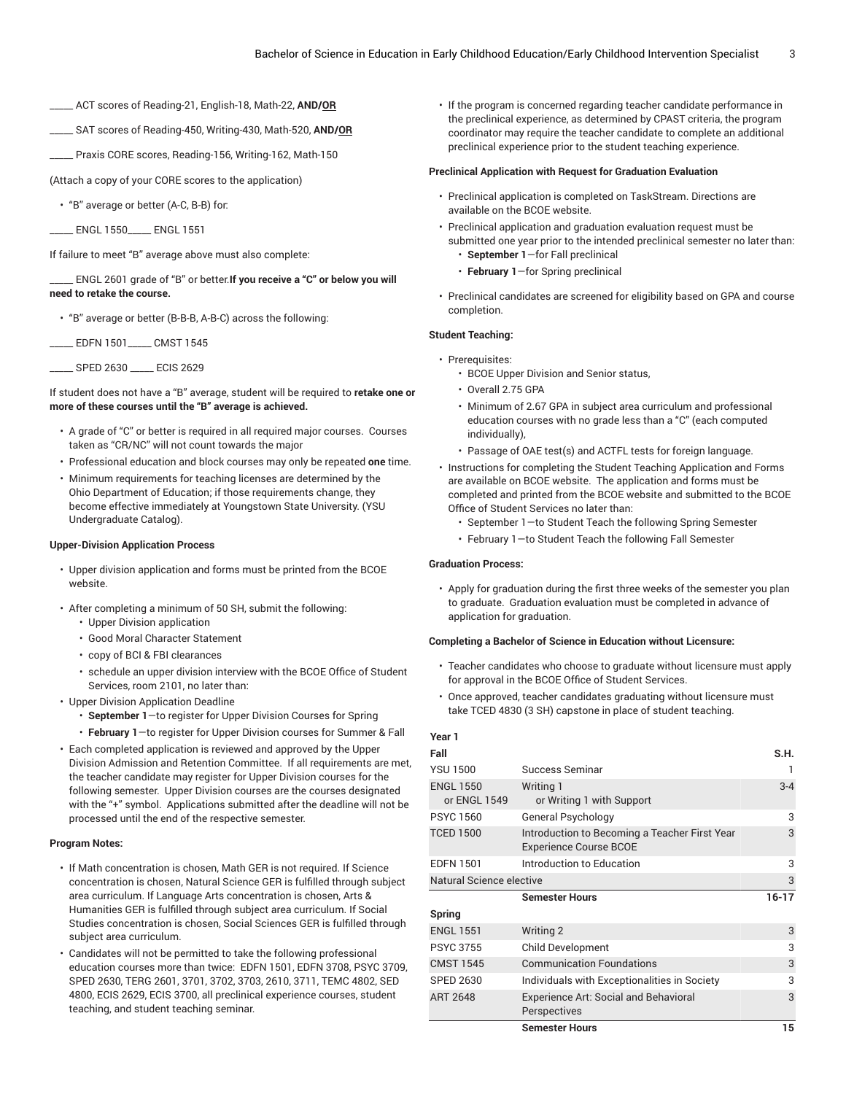- \_\_\_\_\_ ACT scores of Reading-21, English-18, Math-22, **AND/OR**
- \_\_\_\_\_ SAT scores of Reading-450, Writing-430, Math-520, **AND/OR**
- \_\_\_\_\_ Praxis CORE scores, Reading-156, Writing-162, Math-150

(Attach a copy of your CORE scores to the application)

• "B" average or better (A-C, B-B) for:

\_\_\_\_\_ ENGL 1550\_\_\_\_\_ ENGL 1551

If failure to meet "B" average above must also complete:

\_\_\_\_\_ ENGL 2601 grade of "B" or better.**If you receive a "C" or below you will need to retake the course.**

• "B" average or better (B-B-B, A-B-C) across the following:

\_\_\_\_\_ EDFN 1501\_\_\_\_\_ CMST 1545

\_\_\_\_\_ SPED 2630 \_\_\_\_\_ ECIS 2629

If student does not have a "B" average, student will be required to **retake one or more of these courses until the "B" average is achieved.**

- A grade of "C" or better is required in all required major courses. Courses taken as "CR/NC" will not count towards the major
- Professional education and block courses may only be repeated **one** time.
- Minimum requirements for teaching licenses are determined by the Ohio Department of Education; if those requirements change, they become effective immediately at Youngstown State University. (YSU Undergraduate Catalog).

#### **Upper-Division Application Process**

- Upper division application and forms must be printed from the BCOE website.
- After completing a minimum of 50 SH, submit the following:
	- Upper Division application
	- Good Moral Character Statement
	- copy of BCI & FBI clearances
	- schedule an upper division interview with the BCOE Office of Student Services, room 2101, no later than:
- Upper Division Application Deadline
	- **September 1**—to register for Upper Division Courses for Spring
	- **February 1**—to register for Upper Division courses for Summer & Fall
- Each completed application is reviewed and approved by the Upper Division Admission and Retention Committee. If all requirements are met, the teacher candidate may register for Upper Division courses for the following semester. Upper Division courses are the courses designated with the "+" symbol. Applications submitted after the deadline will not be processed until the end of the respective semester.

#### **Program Notes:**

- If Math concentration is chosen, Math GER is not required. If Science concentration is chosen, Natural Science GER is fulfilled through subject area curriculum. If Language Arts concentration is chosen, Arts & Humanities GER is fulfilled through subject area curriculum. If Social Studies concentration is chosen, Social Sciences GER is fulfilled through subject area curriculum.
- Candidates will not be permitted to take the following professional education courses more than twice: EDFN 1501, EDFN 3708, PSYC 3709, SPED 2630, TERG 2601, 3701, 3702, 3703, 2610, 3711, TEMC 4802, SED 4800, ECIS 2629, ECIS 3700, all preclinical experience courses, student teaching, and student teaching seminar.

• If the program is concerned regarding teacher candidate performance in the preclinical experience, as determined by CPAST criteria, the program coordinator may require the teacher candidate to complete an additional preclinical experience prior to the student teaching experience.

#### **Preclinical Application with Request for Graduation Evaluation**

- Preclinical application is completed on TaskStream. Directions are available on the BCOE website.
- Preclinical application and graduation evaluation request must be submitted one year prior to the intended preclinical semester no later than:
	- **September 1**—for Fall preclinical
	- **February 1**—for Spring preclinical
- Preclinical candidates are screened for eligibility based on GPA and course completion.

#### **Student Teaching:**

- Prerequisites:
	- BCOE Upper Division and Senior status,
	- Overall 2.75 GPA
	- Minimum of 2.67 GPA in subject area curriculum and professional education courses with no grade less than a "C" (each computed individually),
	- Passage of OAE test(s) and ACTFL tests for foreign language.
- Instructions for completing the Student Teaching Application and Forms are available on BCOE website. The application and forms must be completed and printed from the BCOE website and submitted to the BCOE Office of Student Services no later than:
	- September 1—to Student Teach the following Spring Semester
	- February 1—to Student Teach the following Fall Semester

#### **Graduation Process:**

• Apply for graduation during the first three weeks of the semester you plan to graduate. Graduation evaluation must be completed in advance of application for graduation.

#### **Completing a Bachelor of Science in Education without Licensure:**

- Teacher candidates who choose to graduate without licensure must apply for approval in the BCOE Office of Student Services.
- Once approved, teacher candidates graduating without licensure must take TCED 4830 (3 SH) capstone in place of student teaching.

## **Year 1**

| Fall                             |                                                                                | S.H.      |
|----------------------------------|--------------------------------------------------------------------------------|-----------|
| <b>YSU 1500</b>                  | Success Seminar                                                                | 1         |
| <b>ENGL 1550</b><br>or ENGL 1549 | Writing 1<br>or Writing 1 with Support                                         | $3 - 4$   |
| <b>PSYC 1560</b>                 | General Psychology                                                             | 3         |
| <b>TCED 1500</b>                 | Introduction to Becoming a Teacher First Year<br><b>Experience Course BCOE</b> | 3         |
| <b>EDFN 1501</b>                 | Introduction to Education                                                      | 3         |
| Natural Science elective         |                                                                                | 3         |
|                                  | <b>Semester Hours</b>                                                          | $16 - 17$ |
| Spring                           |                                                                                |           |
| <b>ENGL 1551</b>                 | Writing 2                                                                      | 3         |
| <b>PSYC 3755</b>                 | <b>Child Development</b>                                                       | 3         |
| --------                         |                                                                                |           |

|                  | <b>Semester Hours</b>                        | 15 |
|------------------|----------------------------------------------|----|
|                  | Perspectives                                 |    |
| ART 2648         | <b>Experience Art: Social and Behavioral</b> |    |
| <b>SPED 2630</b> | Individuals with Exceptionalities in Society |    |
| CMST 1545        | <b>Communication Foundations</b>             |    |
| PSYC 3755        | <b>Child Development</b>                     |    |
|                  |                                              |    |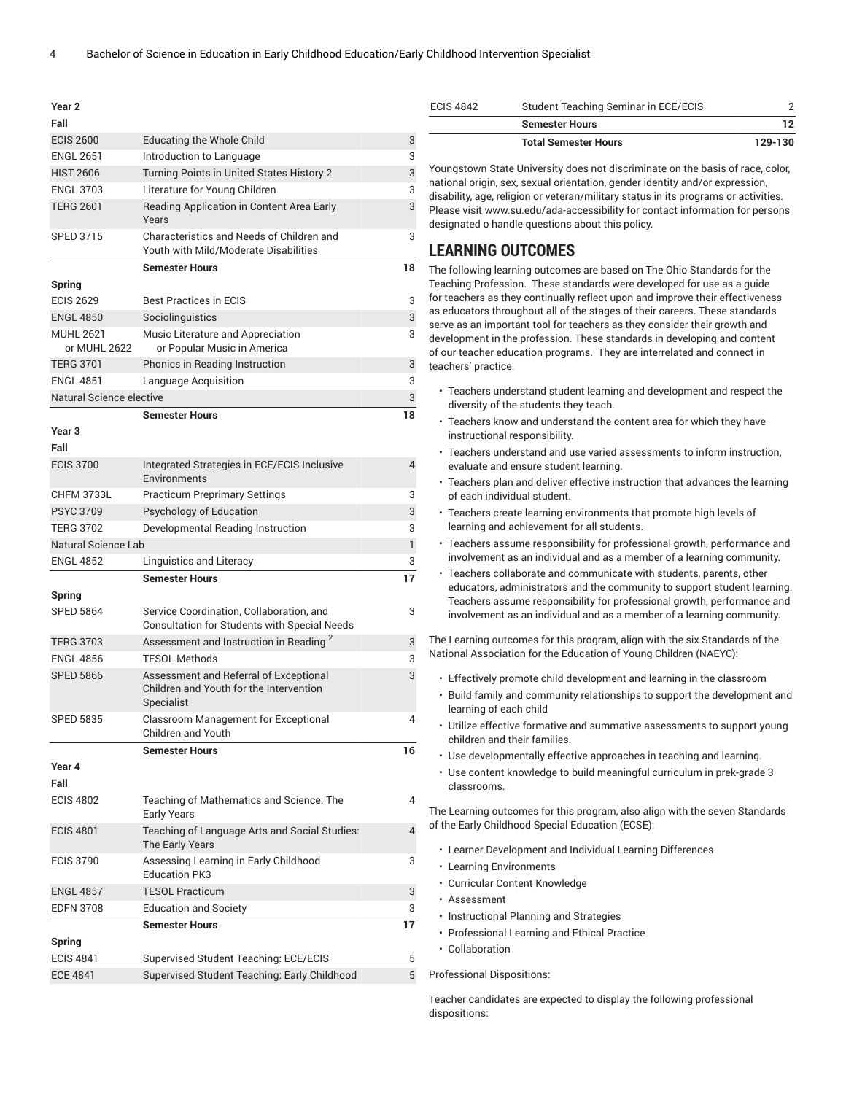| Year <sub>2</sub>                |                                                                                                 |                |
|----------------------------------|-------------------------------------------------------------------------------------------------|----------------|
| Fall                             |                                                                                                 |                |
| <b>ECIS 2600</b>                 | <b>Educating the Whole Child</b>                                                                | 3              |
| <b>ENGL 2651</b>                 | Introduction to Language                                                                        | 3              |
| <b>HIST 2606</b>                 | Turning Points in United States History 2                                                       | 3              |
| <b>ENGL 3703</b>                 | Literature for Young Children                                                                   | 3              |
| <b>TERG 2601</b>                 | Reading Application in Content Area Early<br>Years                                              | 3              |
| <b>SPED 3715</b>                 | Characteristics and Needs of Children and<br>Youth with Mild/Moderate Disabilities              | 3              |
|                                  | <b>Semester Hours</b>                                                                           | 18             |
| Spring                           |                                                                                                 |                |
| <b>ECIS 2629</b>                 | <b>Best Practices in ECIS</b>                                                                   | 3              |
| <b>ENGL 4850</b>                 | Sociolinguistics                                                                                | 3              |
| <b>MUHL 2621</b><br>or MUHL 2622 | Music Literature and Appreciation<br>or Popular Music in America                                | 3              |
| <b>TERG 3701</b>                 | Phonics in Reading Instruction                                                                  | 3              |
| <b>ENGL 4851</b>                 | Language Acquisition                                                                            | 3              |
| Natural Science elective         |                                                                                                 | 3              |
|                                  | <b>Semester Hours</b>                                                                           | 18             |
| Year <sub>3</sub><br>Fall        |                                                                                                 |                |
| <b>ECIS 3700</b>                 | Integrated Strategies in ECE/ECIS Inclusive<br>Environments                                     | $\overline{4}$ |
| <b>CHFM 3733L</b>                | <b>Practicum Preprimary Settings</b>                                                            | 3              |
| <b>PSYC 3709</b>                 | Psychology of Education                                                                         | 3              |
| <b>TERG 3702</b>                 | Developmental Reading Instruction                                                               | 3              |
| Natural Science Lab              |                                                                                                 | 1              |
| <b>ENGL 4852</b>                 | Linguistics and Literacy                                                                        | 3              |
|                                  | <b>Semester Hours</b>                                                                           | 17             |
| Spring                           |                                                                                                 |                |
| <b>SPED 5864</b>                 | Service Coordination, Collaboration, and<br><b>Consultation for Students with Special Needs</b> | 3              |
| <b>TERG 3703</b>                 | Assessment and Instruction in Reading <sup>2</sup>                                              | 3              |
| <b>ENGL 4856</b>                 | <b>TESOL Methods</b>                                                                            | 3              |
| <b>SPED 5866</b>                 | Assessment and Referral of Exceptional                                                          | 3              |
|                                  | Children and Youth for the Intervention<br>Specialist                                           |                |
| <b>SPED 5835</b>                 | Classroom Management for Exceptional<br>Children and Youth                                      | 4              |
|                                  | <b>Semester Hours</b>                                                                           | 16             |
| Year 4<br>Fall                   |                                                                                                 |                |
| <b>ECIS 4802</b>                 | Teaching of Mathematics and Science: The<br><b>Early Years</b>                                  | 4              |
| <b>ECIS 4801</b>                 | Teaching of Language Arts and Social Studies:<br>The Early Years                                | $\overline{4}$ |
| <b>ECIS 3790</b>                 | Assessing Learning in Early Childhood<br><b>Education PK3</b>                                   | 3              |
| <b>ENGL 4857</b>                 | <b>TESOL Practicum</b>                                                                          | 3              |
| <b>EDFN 3708</b>                 | <b>Education and Society</b>                                                                    | 3              |
|                                  | <b>Semester Hours</b>                                                                           | 17             |
| <b>Spring</b>                    |                                                                                                 |                |
| <b>ECIS 4841</b>                 | Supervised Student Teaching: ECE/ECIS                                                           | 5              |
| <b>ECE 4841</b>                  | Supervised Student Teaching: Early Childhood                                                    | 5              |

| <b>ECIS 4842</b> | Student Teaching Seminar in ECE/ECIS |         |
|------------------|--------------------------------------|---------|
|                  | <b>Semester Hours</b>                |         |
|                  | <b>Total Semester Hours</b>          | 129-130 |

Youngstown State University does not discriminate on the basis of race, color, national origin, sex, sexual orientation, gender identity and/or expression, disability, age, religion or veteran/military status in its programs or activities. Please visit www.su.edu/ada-accessibility for contact information for persons designated o handle questions about this policy.

## **LEARNING OUTCOMES**

The following learning outcomes are based on The Ohio Standards for the Teaching Profession. These standards were developed for use as a guide for teachers as they continually reflect upon and improve their effectiveness as educators throughout all of the stages of their careers. These standards serve as an important tool for teachers as they consider their growth and development in the profession. These standards in developing and content of our teacher education programs. They are interrelated and connect in teachers' practice.

- Teachers understand student learning and development and respect the diversity of the students they teach.
- Teachers know and understand the content area for which they have instructional responsibility.
- Teachers understand and use varied assessments to inform instruction, evaluate and ensure student learning.
- Teachers plan and deliver effective instruction that advances the learning of each individual student.
- Teachers create learning environments that promote high levels of learning and achievement for all students.
- Teachers assume responsibility for professional growth, performance and involvement as an individual and as a member of a learning community.
- Teachers collaborate and communicate with students, parents, other educators, administrators and the community to support student learning. Teachers assume responsibility for professional growth, performance and involvement as an individual and as a member of a learning community.

The Learning outcomes for this program, align with the six Standards of the National Association for the Education of Young Children (NAEYC):

- Effectively promote child development and learning in the classroom
- Build family and community relationships to support the development and learning of each child
- Utilize effective formative and summative assessments to support young children and their families.
- Use developmentally effective approaches in teaching and learning.
- Use content knowledge to build meaningful curriculum in prek-grade 3 classrooms.

The Learning outcomes for this program, also align with the seven Standards of the Early Childhood Special Education (ECSE):

- Learner Development and Individual Learning Differences
- Learning Environments
- Curricular Content Knowledge
- Assessment
- Instructional Planning and Strategies
- Professional Learning and Ethical Practice
- Collaboration

#### Professional Dispositions:

Teacher candidates are expected to display the following professional dispositions: